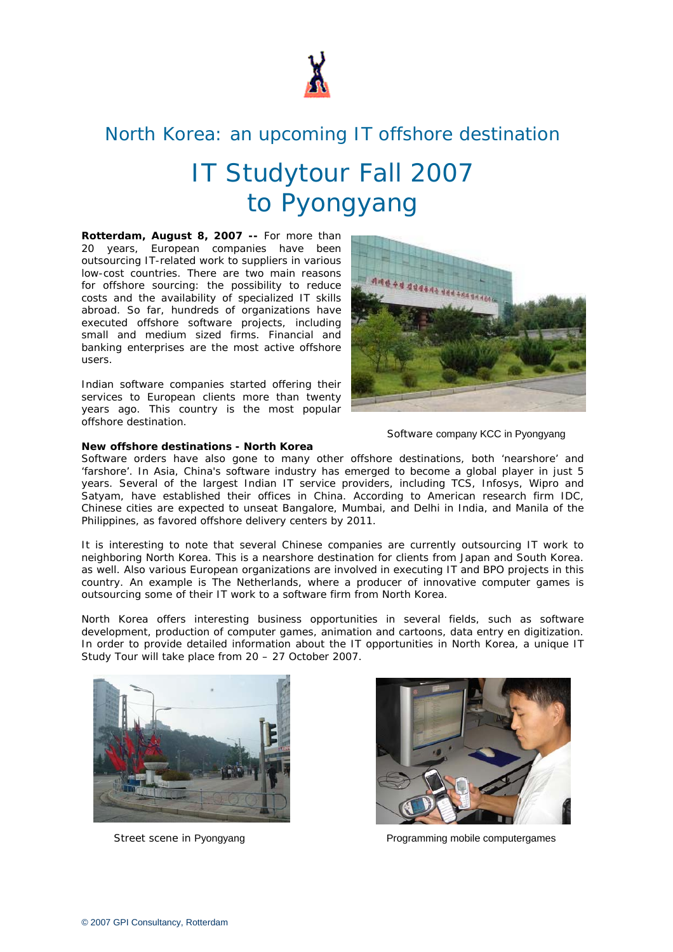

# North Korea: an upcoming IT offshore destination

### IT Studytour Fall 2007 to Pyongyang

**Rotterdam, August 8, 2007 --** For more than 20 years, European companies have been outsourcing IT-related work to suppliers in various low-cost countries. There are two main reasons for offshore sourcing: the possibility to reduce costs and the availability of specialized IT skills abroad. So far, hundreds of organizations have executed offshore software projects, including small and medium sized firms. Financial and banking enterprises are the most active offshore users.

Indian software companies started offering their services to European clients more than twenty years ago. This country is the most popular offshore destination.



Software company KCC in Pyongyang

## **New offshore destinations - North Korea**

Software orders have also gone to many other offshore destinations, both 'nearshore' and 'farshore'. In Asia, China's software industry has emerged to become a global player in just 5 years. Several of the largest Indian IT service providers, including TCS, Infosys, Wipro and Satyam, have established their offices in China. According to American research firm IDC, Chinese cities are expected to unseat Bangalore, Mumbai, and Delhi in India, and Manila of the Philippines, as favored offshore delivery centers by 2011.

It is interesting to note that several Chinese companies are currently outsourcing IT work to neighboring North Korea. This is a nearshore destination for clients from Japan and South Korea. as well. Also various European organizations are involved in executing IT and BPO projects in this country. An example is The Netherlands, where a producer of innovative computer games is outsourcing some of their IT work to a software firm from North Korea.

North Korea offers interesting business opportunities in several fields, such as software development, production of computer games, animation and cartoons, data entry en digitization. In order to provide detailed information about the IT opportunities in North Korea, a unique IT Study Tour will take place from 20 – 27 October 2007.





Street scene in Pyongyang Programming mobile computergames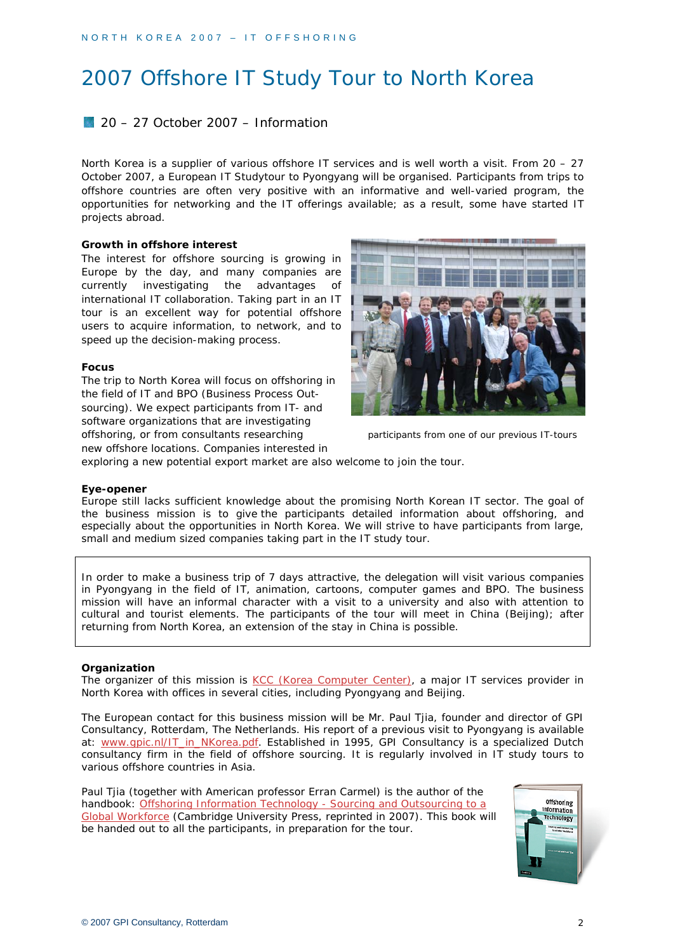### 2007 Offshore IT Study Tour to North Korea

#### 20 – 27 October 2007 – Information

North Korea is a supplier of various offshore IT services and is well worth a visit. From 20 – 27 October 2007, a European IT Studytour to Pyongyang will be organised. Participants from trips to offshore countries are often very positive with an informative and well-varied program, the opportunities for networking and the IT offerings available; as a result, some have started IT projects abroad.

#### **Growth in offshore interest**

The interest for offshore sourcing is growing in Europe by the day, and many companies are currently investigating the advantages of international IT collaboration. Taking part in an IT tour is an excellent way for potential offshore users to acquire information, to network, and to speed up the decision-making process.

#### **Focus**

The trip to North Korea will focus on offshoring in the field of IT and BPO (Business Process Outsourcing). We expect participants from IT- and software organizations that are investigating offshoring, or from consultants researching participants from one of our previous IT-tours new offshore locations. Companies interested in



exploring a new potential export market are also welcome to join the tour.

#### **Eye-opener**

Europe still lacks sufficient knowledge about the promising North Korean IT sector. The goal of the business mission is to give the participants detailed information about offshoring, and especially about the opportunities in North Korea. We will strive to have participants from large, small and medium sized companies taking part in the IT study tour.

In order to make a business trip of 7 days attractive, the delegation will visit various companies in Pyongyang in the field of IT, animation, cartoons, computer games and BPO. The business mission will have an informal character with a visit to a university and also with attention to cultural and tourist elements. The participants of the tour will meet in China (Beijing); after returning from North Korea, an extension of the stay in China is possible.

#### **Organization**

The organizer of this mission is [KCC \(Korea Computer Center\),](http://www.kcckp.net/kcc_e/index.htm) a major IT services provider in North Korea with offices in several cities, including Pyongyang and Beijing.

The European contact for this business mission will be Mr. Paul Tjia, founder and director of GPI Consultancy, Rotterdam, The Netherlands. His report of a previous visit to Pyongyang is available at: www.gpic.nl/IT in NKorea.pdf. Established in 1995, GPI Consultancy is a specialized Dutch consultancy firm in the field of offshore sourcing. It is regularly involved in IT study tours to various offshore countries in Asia.

Paul Tjia (together with American professor Erran Carmel) is the author of the handbook: Offshoring Information Technology - Sourcing and Outsourcing to a [Global Workforce](http://www.gpic.nl/bookTOC.pdf) (Cambridge University Press, reprinted in 2007). This book will be handed out to all the participants, in preparation for the tour.

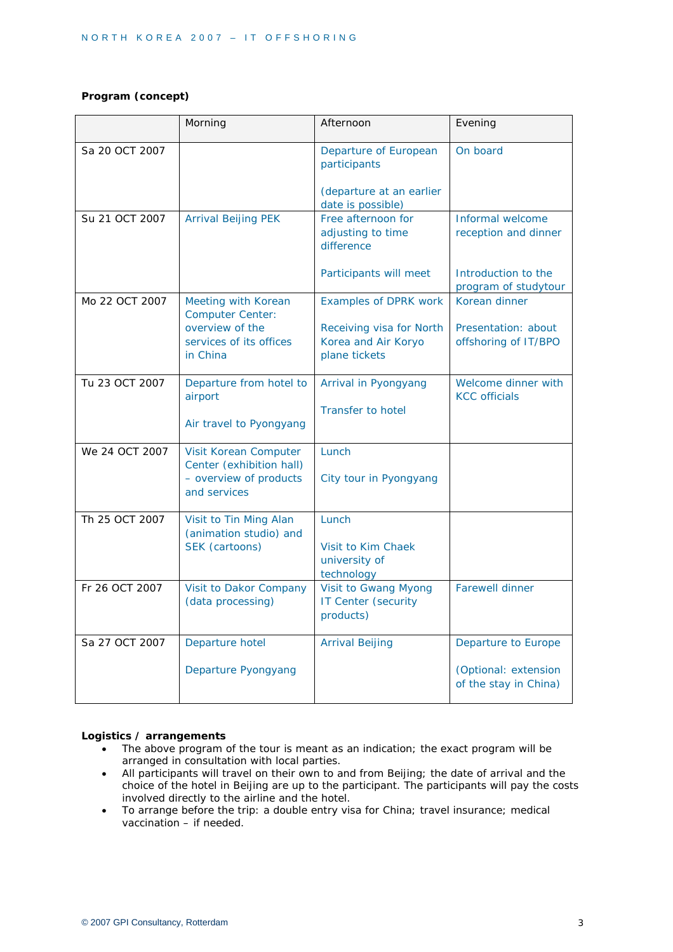#### **Program (concept)**

|                | Morning                                                                                     | Afternoon                                                                              | Evening                                                              |
|----------------|---------------------------------------------------------------------------------------------|----------------------------------------------------------------------------------------|----------------------------------------------------------------------|
| Sa 20 OCT 2007 |                                                                                             | Departure of European<br>participants<br>(departure at an earlier<br>date is possible) | On board                                                             |
| Su 21 OCT 2007 | <b>Arrival Beijing PEK</b>                                                                  | Free afternoon for<br>adjusting to time<br>difference                                  | Informal welcome<br>reception and dinner                             |
|                |                                                                                             | Participants will meet                                                                 | Introduction to the<br>program of studytour                          |
| Mo 22 OCT 2007 | Meeting with Korean<br><b>Computer Center:</b>                                              | Examples of DPRK work                                                                  | Korean dinner                                                        |
|                | overview of the<br>services of its offices<br>in China                                      | Receiving visa for North<br>Korea and Air Koryo<br>plane tickets                       | Presentation: about<br>offshoring of IT/BPO                          |
| Tu 23 OCT 2007 | Departure from hotel to<br>airport<br>Air travel to Pyongyang                               | Arrival in Pyongyang<br>Transfer to hotel                                              | Welcome dinner with<br><b>KCC</b> officials                          |
| We 24 OCT 2007 | Visit Korean Computer<br>Center (exhibition hall)<br>- overview of products<br>and services | Lunch<br>City tour in Pyongyang                                                        |                                                                      |
| Th 25 OCT 2007 | Visit to Tin Ming Alan<br>(animation studio) and<br>SEK (cartoons)                          | Lunch<br>Visit to Kim Chaek<br>university of<br>technology                             |                                                                      |
| Fr 26 OCT 2007 | Visit to Dakor Company<br>(data processing)                                                 | Visit to Gwang Myong<br>IT Center (security<br>products)                               | <b>Farewell dinner</b>                                               |
| Sa 27 OCT 2007 | Departure hotel<br>Departure Pyongyang                                                      | <b>Arrival Beijing</b>                                                                 | Departure to Europe<br>(Optional: extension<br>of the stay in China) |

#### **Logistics / arrangements**

- The above program of the tour is meant as an indication; the exact program will be arranged in consultation with local parties.
- All participants will travel on their own to and from Beijing; the date of arrival and the choice of the hotel in Beijing are up to the participant. The participants will pay the costs involved directly to the airline and the hotel.
- To arrange before the trip: a double entry visa for China; travel insurance; medical vaccination – if needed.